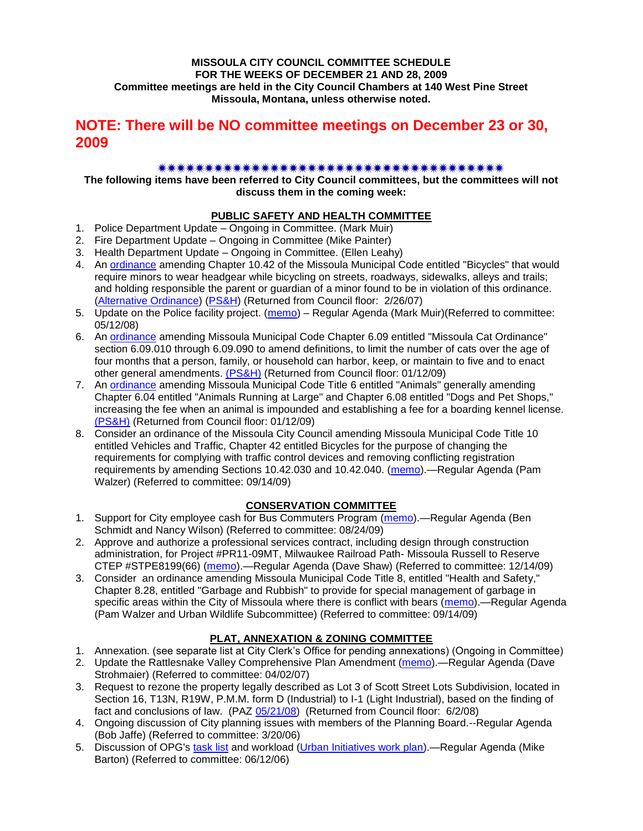#### **MISSOULA CITY COUNCIL COMMITTEE SCHEDULE FOR THE WEEKS OF DECEMBER 21 AND 28, 2009 Committee meetings are held in the City Council Chambers at 140 West Pine Street Missoula, Montana, unless otherwise noted.**

# **NOTE: There will be NO committee meetings on December 23 or 30, 2009**

#### 

**The following items have been referred to City Council committees, but the committees will not discuss them in the coming week:**

#### **PUBLIC SAFETY AND HEALTH COMMITTEE**

- 1. Police Department Update Ongoing in Committee. (Mark Muir)
- 2. Fire Department Update Ongoing in Committee (Mike Painter)
- 3. Health Department Update Ongoing in Committee. (Ellen Leahy)
- 4. An [ordinance](ftp://ftp.ci.missoula.mt.us/Packets/Council/2007/2007-02-05/07-01-31 Helmet and bikes psh.htm) amending Chapter 10.42 of the Missoula Municipal Code entitled "Bicycles" that would require minors to wear headgear while bicycling on streets, roadways, sidewalks, alleys and trails; and holding responsible the parent or guardian of a minor found to be in violation of this ordinance. [\(Alternative Ordinance\)](ftp://ftp.ci.missoula.mt.us/Packets/Council/2007/2007-02-26/07-02-19_Alternative_Helmet_and_bikes.htm) [\(PS&H\)](ftp://ftp.ci.missoula.mt.us/Packets/Council/2007/2007-02-05/070131psh.pdf) (Returned from Council floor: 2/26/07)
- 5. Update on the Police facility project. [\(memo\)](ftp://ftp.ci.missoula.mt.us/Packets/Council/2008/2008-05-12/Referrals/Buildingpresentationreferral.htm) Regular Agenda (Mark Muir) (Referred to committee: 05/12/08)
- 6. An [ordinance](ftp://ftp.ci.missoula.mt.us/Packets/Council/2008/2008-12-15/2008CatOrdinanceAmendment%5B1%5D.pdf) amending Missoula Municipal Code Chapter 6.09 entitled "Missoula Cat Ordinance" section 6.09.010 through 6.09.090 to amend definitions, to limit the number of cats over the age of four months that a person, family, or household can harbor, keep, or maintain to five and to enact other general amendments. [\(PS&H\)](ftp://ftp.ci.missoula.mt.us/Packets/Council/2008/2008-12-15/081210psh.pdf) (Returned from Council floor: 01/12/09)
- 7. An [ordinance](ftp://ftp.ci.missoula.mt.us/Packets/Council/2008/2008-12-15/DogOrdinance--PSHrevisions.pdf) amending Missoula Municipal Code Title 6 entitled "Animals" generally amending Chapter 6.04 entitled "Animals Running at Large" and Chapter 6.08 entitled "Dogs and Pet Shops," increasing the fee when an animal is impounded and establishing a fee for a boarding kennel license. [\(PS&H\)](ftp://ftp.ci.missoula.mt.us/Packets/Council/2008/2008-12-15/081210psh.pdf) (Returned from Council floor: 01/12/09)
- 8. Consider an ordinance of the Missoula City Council amending Missoula Municipal Code Title 10 entitled Vehicles and Traffic, Chapter 42 entitled Bicycles for the purpose of changing the requirements for complying with traffic control devices and removing conflicting registration requirements by amending Sections 10.42.030 and 10.42.040. [\(memo\)](http://www.ci.missoula.mt.us/DocumentView.aspx?DID=2223).—Regular Agenda (Pam Walzer) (Referred to committee: 09/14/09)

# **CONSERVATION COMMITTEE**

- 1. Support for City employee cash for Bus Commuters Program [\(memo\)](http://www.ci.missoula.mt.us/DocumentView.aspx?DID=2127).—Regular Agenda (Ben Schmidt and Nancy Wilson) (Referred to committee: 08/24/09)
- 2. Approve and authorize a professional services contract, including design through construction administration, for Project #PR11-09MT, Milwaukee Railroad Path- Missoula Russell to Reserve CTEP #STPE8199(66) [\(memo\)](http://www.ci.missoula.mt.us/DocumentView.aspx?DID=2824).—Regular Agenda (Dave Shaw) (Referred to committee: 12/14/09)
- 3. Consider an ordinance amending Missoula Municipal Code Title 8, entitled "Health and Safety," Chapter 8.28, entitled "Garbage and Rubbish" to provide for special management of garbage in specific areas within the City of Missoula where there is conflict with bears [\(memo\)](http://www.ci.missoula.mt.us/DocumentView.aspx?DID=2228).—Regular Agenda (Pam Walzer and Urban Wildlife Subcommittee) (Referred to committee: 09/14/09)

#### **PLAT, ANNEXATION & ZONING COMMITTEE**

- 1. Annexation. (see separate list at City Clerk's Office for pending annexations) (Ongoing in Committee)
- 2. Update the Rattlesnake Valley Comprehensive Plan Amendment [\(memo\)](ftp://ftp.ci.missoula.mt.us/Packets/Council/2007/2007-04-02/Referrals/Rattlesnake_Plan_Update_referral.pdf).—Regular Agenda (Dave Strohmaier) (Referred to committee: 04/02/07)
- 3. Request to rezone the property legally described as Lot 3 of Scott Street Lots Subdivision, located in Section 16, T13N, R19W, P.M.M. form D (Industrial) to I-1 (Light Industrial), based on the finding of fact and conclusions of law. (PAZ [05/21/08\)](ftp://ftp.ci.missoula.mt.us/Packets/Council/2008/2008-06-02/080521paz.pdf) (Returned from Council floor: 6/2/08)
- 4. Ongoing discussion of City planning issues with members of the Planning Board.--Regular Agenda (Bob Jaffe) (Referred to committee: 3/20/06)
- 5. Discussion of OPG's [task list](ftp://ftp.ci.missoula.mt.us/Packets/Council/2008/2008-07-07/UITaskList.pdf) and workload [\(Urban Initiatives work plan\)](ftp://ftp.ci.missoula.mt.us/Packets/Council/2006/2006-06-12/Referrals/Urban_Init.htm).—Regular Agenda (Mike Barton) (Referred to committee: 06/12/06)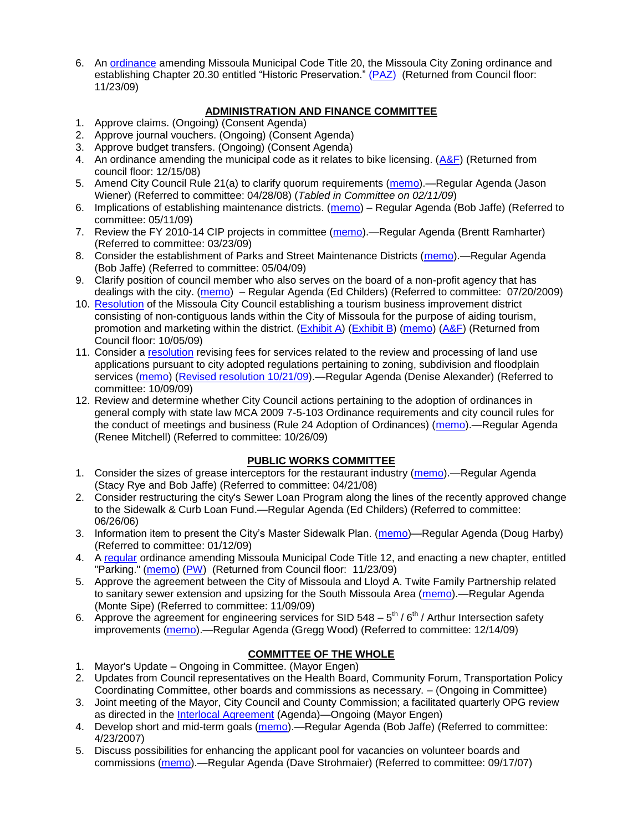6. An [ordinance](http://www.ci.missoula.mt.us/DocumentView.aspx?DID=2669) amending Missoula Municipal Code Title 20, the Missoula City Zoning ordinance and establishing Chapter 20.30 entitled "Historic Preservation." [\(PAZ\)](http://www.ci.missoula.mt.us/Archive.aspx?ADID=1512) (Returned from Council floor: 11/23/09)

### **ADMINISTRATION AND FINANCE COMMITTEE**

- 1. Approve claims. (Ongoing) (Consent Agenda)
- 2. Approve journal vouchers. (Ongoing) (Consent Agenda)
- 3. Approve budget transfers. (Ongoing) (Consent Agenda)
- 4. An ordinance amending the municipal code as it relates to bike licensing.  $(A&F)$  (Returned from council floor: 12/15/08)
- 5. Amend City Council Rule 21(a) to clarify quorum requirements [\(memo\)](ftp://ftp.ci.missoula.mt.us/Packets/Council/2008/2008-04-28/Referrals/CouncilRule21aReferral.pdf).—Regular Agenda (Jason Wiener) (Referred to committee: 04/28/08) (*Tabled in Committee on 02/11/09*)
- 6. Implications of establishing maintenance districts. [\(memo\)](ftp://ftp.ci.missoula.mt.us/Packets/Council/2009/2009-05-11/Referrals/MaintenanceDistricts.pdf) Regular Agenda (Bob Jaffe) (Referred to committee: 05/11/09)
- 7. Review the FY 2010-14 CIP projects in committee [\(memo\)](ftp://ftp.ci.missoula.mt.us/Packets/Council/2009/2009-03-23/Referrals/RefAFCIPBudgetReviewFY2010-2014CIP.pdf).—Regular Agenda (Brentt Ramharter) (Referred to committee: 03/23/09)
- 8. Consider the establishment of Parks and Street Maintenance Districts [\(memo\)](ftp://ftp.ci.missoula.mt.us/Packets/Council/2009/2009-05-04/Referrals/MaintenanceDistricts.pdf).—Regular Agenda (Bob Jaffe) (Referred to committee: 05/04/09)
- 9. Clarify position of council member who also serves on the board of a non-profit agency that has dealings with the city. [\(memo\)](http://www.ci.missoula.mt.us/DocumentView.aspx?DID=1840) – Regular Agenda (Ed Childers) (Referred to committee: 07/20/2009)
- 10. [Resolution](http://www.ci.missoula.mt.us/DocumentView.aspx?DID=2373) of the Missoula City Council establishing a tourism business improvement district consisting of non-contiguous lands within the City of Missoula for the purpose of aiding tourism, promotion and marketing within the district. [\(Exhibit A\)](http://www.ci.missoula.mt.us/DocumentView.aspx?DID=2090) [\(Exhibit B\)](http://www.ci.missoula.mt.us/DocumentView.aspx?DID=2374) [\(memo\)](http://www.ci.missoula.mt.us/DocumentView.aspx?DID=2097) [\(A&F\)](http://www.ci.missoula.mt.us/Archive.aspx?ADID=1172) (Returned from Council floor: 10/05/09)
- 11. Consider a [resolution](http://www.ci.missoula.mt.us/DocumentView.aspx?DID=2444) revising fees for services related to the review and processing of land use applications pursuant to city adopted regulations pertaining to zoning, subdivision and floodplain services [\(memo\)](http://www.ci.missoula.mt.us/DocumentView.aspx?DID=2387) [\(Revised resolution 10/21/09\)](http://www.ci.missoula.mt.us/DocumentView.aspx?DID=2399).—Regular Agenda (Denise Alexander) (Referred to committee: 10/09/09)
- 12. Review and determine whether City Council actions pertaining to the adoption of ordinances in general comply with state law MCA 2009 7-5-103 Ordinance requirements and city council rules for the conduct of meetings and business (Rule 24 Adoption of Ordinances) [\(memo\)](http://www.ci.missoula.mt.us/DocumentView.aspx?DID=2468).—Regular Agenda (Renee Mitchell) (Referred to committee: 10/26/09)

#### **PUBLIC WORKS COMMITTEE**

- 1. Consider the sizes of grease interceptors for the restaurant industry [\(memo\)](ftp://ftp.ci.missoula.mt.us/Packets/Council/2008/2008-04-21/Referrals/Industrial_waste_restaurants.pdf).—Regular Agenda (Stacy Rye and Bob Jaffe) (Referred to committee: 04/21/08)
- 2. Consider restructuring the city's Sewer Loan Program along the lines of the recently approved change to the Sidewalk & Curb Loan Fund.—Regular Agenda (Ed Childers) (Referred to committee: 06/26/06)
- 3. Information item to present the City's Master Sidewalk Plan. [\(memo\)](ftp://ftp.ci.missoula.mt.us/packets/council/2009/2009-01-12/Referrals/MstrSdwlkPlnREF.pdf)—Regular Agenda (Doug Harby) (Referred to committee: 01/12/09)
- 4. A [regular](http://www.ci.missoula.mt.us/DocumentView.aspx?DID=2700) ordinance amending Missoula Municipal Code Title 12, and enacting a new chapter, entitled "Parking." [\(memo\)](http://www.ci.missoula.mt.us/DocumentView.aspx?DID=2366) [\(PW\)](http://www.ci.missoula.mt.us/Archive.aspx?ADID=1413) (Returned from Council floor: 11/23/09)
- 5. Approve the agreement between the City of Missoula and Lloyd A. Twite Family Partnership related to sanitary sewer extension and upsizing for the South Missoula Area [\(memo\)](http://www.ci.missoula.mt.us/DocumentView.aspx?DID=2531).—Regular Agenda (Monte Sipe) (Referred to committee: 11/09/09)
- 6. Approve the agreement for engineering services for SID 548  $-$  5<sup>th</sup> / 6<sup>th</sup> / Arthur Intersection safety improvements [\(memo\)](http://www.ci.missoula.mt.us/DocumentView.aspx?DID=2816).—Regular Agenda (Gregg Wood) (Referred to committee: 12/14/09)

# **COMMITTEE OF THE WHOLE**

- 1. Mayor's Update Ongoing in Committee. (Mayor Engen)
- 2. Updates from Council representatives on the Health Board, Community Forum, Transportation Policy Coordinating Committee, other boards and commissions as necessary. – (Ongoing in Committee)
- 3. Joint meeting of the Mayor, City Council and County Commission; a facilitated quarterly OPG review as directed in the [Interlocal Agreement](ftp://ftp.ci.missoula.mt.us/Documents/Mayor/OPG/Adopted-ILA-2005.pdf) (Agenda)—Ongoing (Mayor Engen)
- 4. Develop short and mid-term goals [\(memo\)](ftp://ftp.ci.missoula.mt.us/Packets/Council/2007/2007-04-23/Referrals/Council_Goals.pdf).—Regular Agenda (Bob Jaffe) (Referred to committee: 4/23/2007)
- 5. Discuss possibilities for enhancing the applicant pool for vacancies on volunteer boards and commissions [\(memo\)](ftp://ftp.ci.missoula.mt.us/Packets/Council/2007/2007-09-17/Referrals/board_and_commission_recruitment.pdf).—Regular Agenda (Dave Strohmaier) (Referred to committee: 09/17/07)